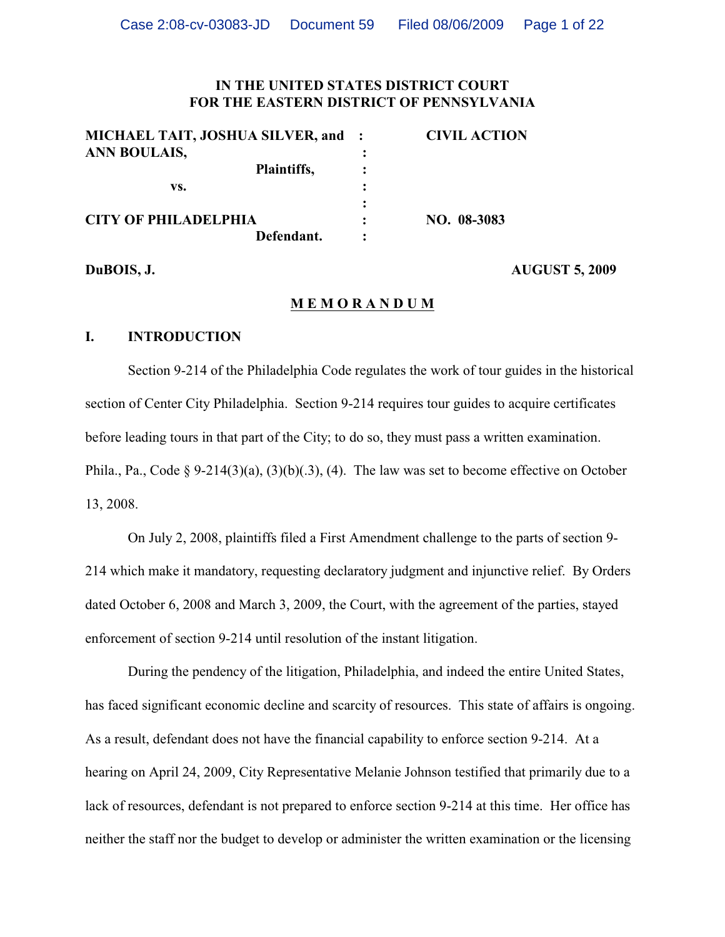# **IN THE UNITED STATES DISTRICT COURT FOR THE EASTERN DISTRICT OF PENNSYLVANIA**

| MICHAEL TAIT, JOSHUA SILVER, and : | <b>CIVIL ACTION</b> |
|------------------------------------|---------------------|
| ANN BOULAIS,                       |                     |
| Plaintiffs,                        |                     |
| VS.                                |                     |
|                                    |                     |
| <b>CITY OF PHILADELPHIA</b>        | NO. 08-3083         |
| Defendant.                         |                     |

**DuBOIS, J. AUGUST 5, 2009**

#### **M E M O R A N D U M**

# **I. INTRODUCTION**

Section 9-214 of the Philadelphia Code regulates the work of tour guides in the historical section of Center City Philadelphia. Section 9-214 requires tour guides to acquire certificates before leading tours in that part of the City; to do so, they must pass a written examination. Phila., Pa., Code § 9-214(3)(a), (3)(b)(.3), (4). The law was set to become effective on October 13, 2008.

On July 2, 2008, plaintiffs filed a First Amendment challenge to the parts of section 9- 214 which make it mandatory, requesting declaratory judgment and injunctive relief. By Orders dated October 6, 2008 and March 3, 2009, the Court, with the agreement of the parties, stayed enforcement of section 9-214 until resolution of the instant litigation.

During the pendency of the litigation, Philadelphia, and indeed the entire United States, has faced significant economic decline and scarcity of resources. This state of affairs is ongoing. As a result, defendant does not have the financial capability to enforce section 9-214. At a hearing on April 24, 2009, City Representative Melanie Johnson testified that primarily due to a lack of resources, defendant is not prepared to enforce section 9-214 at this time. Her office has neither the staff nor the budget to develop or administer the written examination or the licensing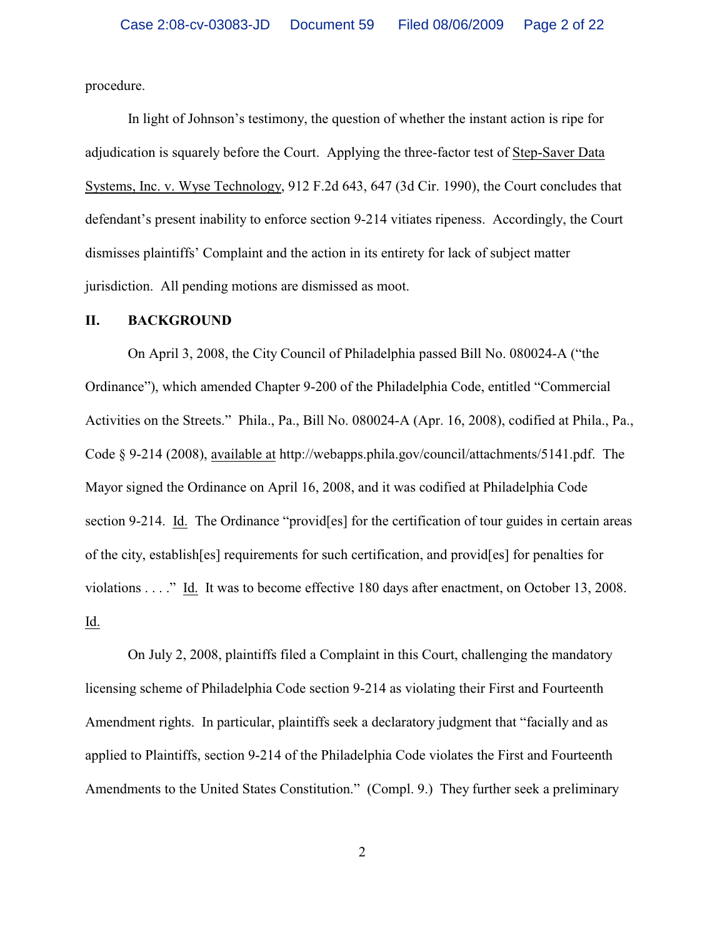procedure.

In light of Johnson's testimony, the question of whether the instant action is ripe for adjudication is squarely before the Court. Applying the three-factor test of Step-Saver Data Systems, Inc. v. Wyse Technology, 912 F.2d 643, 647 (3d Cir. 1990), the Court concludes that defendant's present inability to enforce section 9-214 vitiates ripeness. Accordingly, the Court dismisses plaintiffs' Complaint and the action in its entirety for lack of subject matter jurisdiction. All pending motions are dismissed as moot.

## **II. BACKGROUND**

On April 3, 2008, the City Council of Philadelphia passed Bill No. 080024-A ("the Ordinance"), which amended Chapter 9-200 of the Philadelphia Code, entitled "Commercial Activities on the Streets." Phila., Pa., Bill No. 080024-A (Apr. 16, 2008), codified at Phila., Pa., Code § 9-214 (2008), available at http://webapps.phila.gov/council/attachments/5141.pdf. The Mayor signed the Ordinance on April 16, 2008, and it was codified at Philadelphia Code section 9-214. Id. The Ordinance "provid[es] for the certification of tour guides in certain areas of the city, establish[es] requirements for such certification, and provid[es] for penalties for violations . . . ." Id. It was to become effective 180 days after enactment, on October 13, 2008. Id.

On July 2, 2008, plaintiffs filed a Complaint in this Court, challenging the mandatory licensing scheme of Philadelphia Code section 9-214 as violating their First and Fourteenth Amendment rights. In particular, plaintiffs seek a declaratory judgment that "facially and as applied to Plaintiffs, section 9-214 of the Philadelphia Code violates the First and Fourteenth Amendments to the United States Constitution." (Compl. 9.) They further seek a preliminary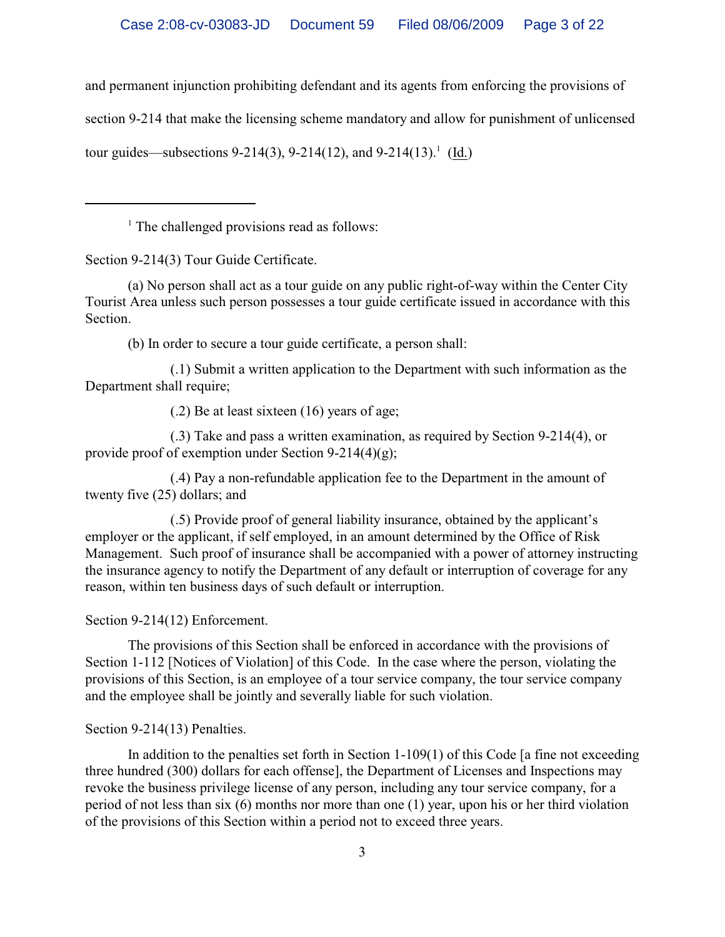and permanent injunction prohibiting defendant and its agents from enforcing the provisions of

section 9-214 that make the licensing scheme mandatory and allow for punishment of unlicensed

tour guides—subsections  $9-214(3)$ ,  $9-214(12)$ , and  $9-214(13)$ . (Id.)

 $<sup>1</sup>$  The challenged provisions read as follows:</sup>

Section 9-214(3) Tour Guide Certificate.

(a) No person shall act as a tour guide on any public right-of-way within the Center City Tourist Area unless such person possesses a tour guide certificate issued in accordance with this Section.

(b) In order to secure a tour guide certificate, a person shall:

(.1) Submit a written application to the Department with such information as the Department shall require;

(.2) Be at least sixteen (16) years of age;

(.3) Take and pass a written examination, as required by Section 9-214(4), or provide proof of exemption under Section 9-214(4)(g);

(.4) Pay a non-refundable application fee to the Department in the amount of twenty five (25) dollars; and

(.5) Provide proof of general liability insurance, obtained by the applicant's employer or the applicant, if self employed, in an amount determined by the Office of Risk Management. Such proof of insurance shall be accompanied with a power of attorney instructing the insurance agency to notify the Department of any default or interruption of coverage for any reason, within ten business days of such default or interruption.

Section 9-214(12) Enforcement.

The provisions of this Section shall be enforced in accordance with the provisions of Section 1-112 [Notices of Violation] of this Code. In the case where the person, violating the provisions of this Section, is an employee of a tour service company, the tour service company and the employee shall be jointly and severally liable for such violation.

Section 9-214(13) Penalties.

In addition to the penalties set forth in Section  $1-109(1)$  of this Code [a fine not exceeding three hundred (300) dollars for each offense], the Department of Licenses and Inspections may revoke the business privilege license of any person, including any tour service company, for a period of not less than six (6) months nor more than one (1) year, upon his or her third violation of the provisions of this Section within a period not to exceed three years.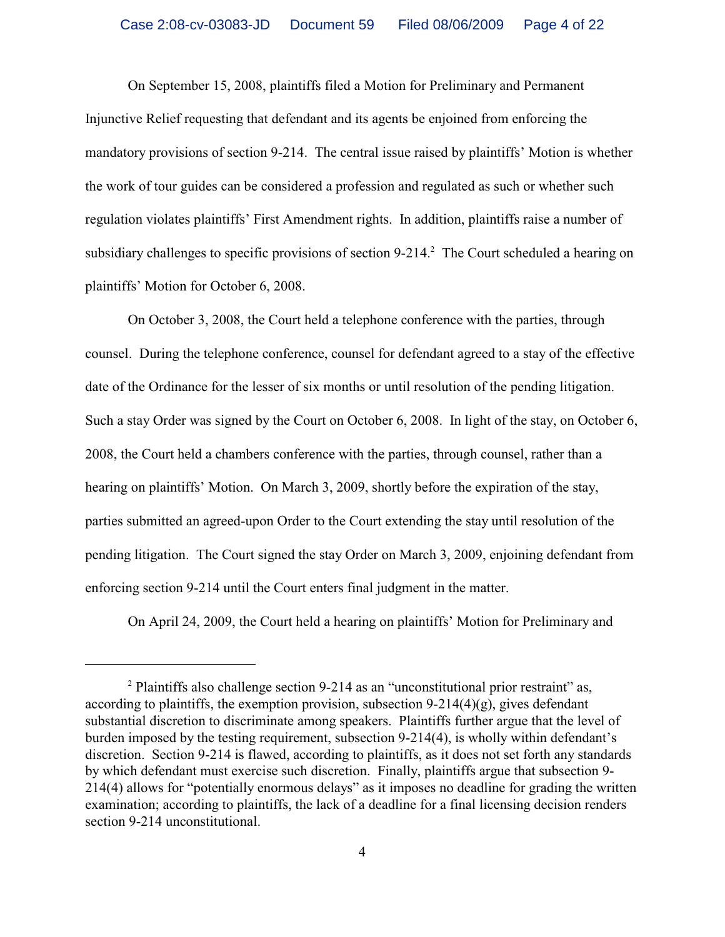On September 15, 2008, plaintiffs filed a Motion for Preliminary and Permanent Injunctive Relief requesting that defendant and its agents be enjoined from enforcing the mandatory provisions of section 9-214. The central issue raised by plaintiffs' Motion is whether the work of tour guides can be considered a profession and regulated as such or whether such regulation violates plaintiffs' First Amendment rights. In addition, plaintiffs raise a number of subsidiary challenges to specific provisions of section  $9-214$ . The Court scheduled a hearing on plaintiffs' Motion for October 6, 2008.

On October 3, 2008, the Court held a telephone conference with the parties, through counsel. During the telephone conference, counsel for defendant agreed to a stay of the effective date of the Ordinance for the lesser of six months or until resolution of the pending litigation. Such a stay Order was signed by the Court on October 6, 2008. In light of the stay, on October 6, 2008, the Court held a chambers conference with the parties, through counsel, rather than a hearing on plaintiffs' Motion. On March 3, 2009, shortly before the expiration of the stay, parties submitted an agreed-upon Order to the Court extending the stay until resolution of the pending litigation. The Court signed the stay Order on March 3, 2009, enjoining defendant from enforcing section 9-214 until the Court enters final judgment in the matter.

On April 24, 2009, the Court held a hearing on plaintiffs' Motion for Preliminary and

 $2$  Plaintiffs also challenge section 9-214 as an "unconstitutional prior restraint" as, according to plaintiffs, the exemption provision, subsection  $9-214(4)(g)$ , gives defendant substantial discretion to discriminate among speakers. Plaintiffs further argue that the level of burden imposed by the testing requirement, subsection 9-214(4), is wholly within defendant's discretion. Section 9-214 is flawed, according to plaintiffs, as it does not set forth any standards by which defendant must exercise such discretion. Finally, plaintiffs argue that subsection 9- 214(4) allows for "potentially enormous delays" as it imposes no deadline for grading the written examination; according to plaintiffs, the lack of a deadline for a final licensing decision renders section 9-214 unconstitutional.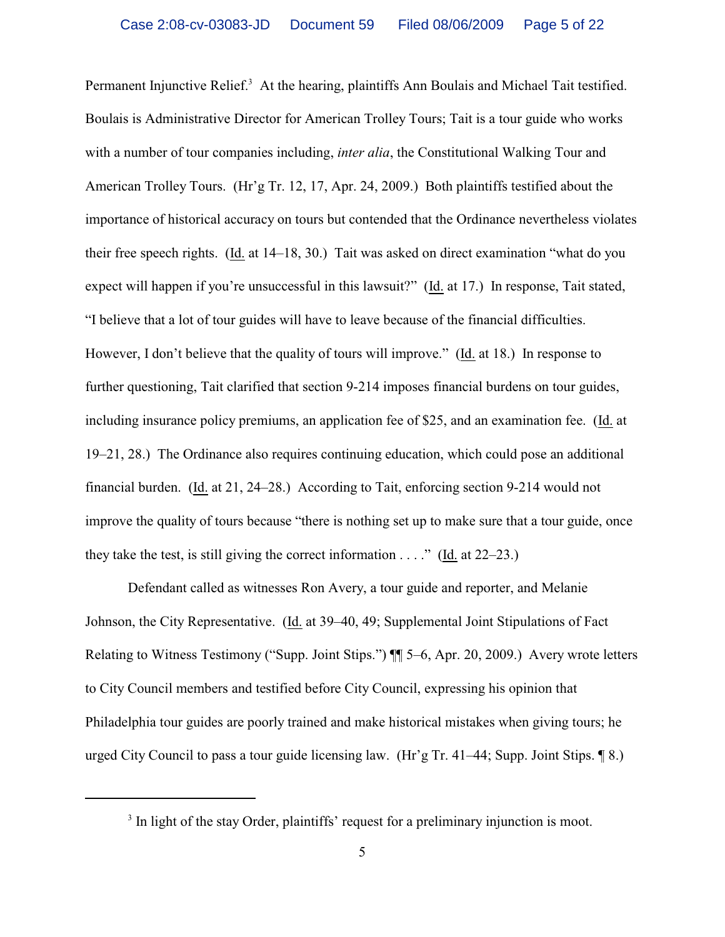Permanent Injunctive Relief.<sup>3</sup> At the hearing, plaintiffs Ann Boulais and Michael Tait testified. Boulais is Administrative Director for American Trolley Tours; Tait is a tour guide who works with a number of tour companies including, *inter alia*, the Constitutional Walking Tour and American Trolley Tours. (Hr'g Tr. 12, 17, Apr. 24, 2009.) Both plaintiffs testified about the importance of historical accuracy on tours but contended that the Ordinance nevertheless violates their free speech rights. (Id. at 14–18, 30.) Tait was asked on direct examination "what do you expect will happen if you're unsuccessful in this lawsuit?" (Id. at 17.) In response, Tait stated, "I believe that a lot of tour guides will have to leave because of the financial difficulties. However, I don't believe that the quality of tours will improve." (Id. at 18.) In response to further questioning, Tait clarified that section 9-214 imposes financial burdens on tour guides, including insurance policy premiums, an application fee of \$25, and an examination fee. (Id. at 19–21, 28.) The Ordinance also requires continuing education, which could pose an additional financial burden. (Id. at 21, 24–28.) According to Tait, enforcing section 9-214 would not improve the quality of tours because "there is nothing set up to make sure that a tour guide, once they take the test, is still giving the correct information  $\dots$ ." (Id. at 22–23.)

Defendant called as witnesses Ron Avery, a tour guide and reporter, and Melanie Johnson, the City Representative. (Id. at 39–40, 49; Supplemental Joint Stipulations of Fact Relating to Witness Testimony ("Supp. Joint Stips.") ¶¶ 5–6, Apr. 20, 2009.) Avery wrote letters to City Council members and testified before City Council, expressing his opinion that Philadelphia tour guides are poorly trained and make historical mistakes when giving tours; he urged City Council to pass a tour guide licensing law. (Hr'g Tr. 41–44; Supp. Joint Stips. ¶ 8.)

 $3$  In light of the stay Order, plaintiffs' request for a preliminary injunction is moot.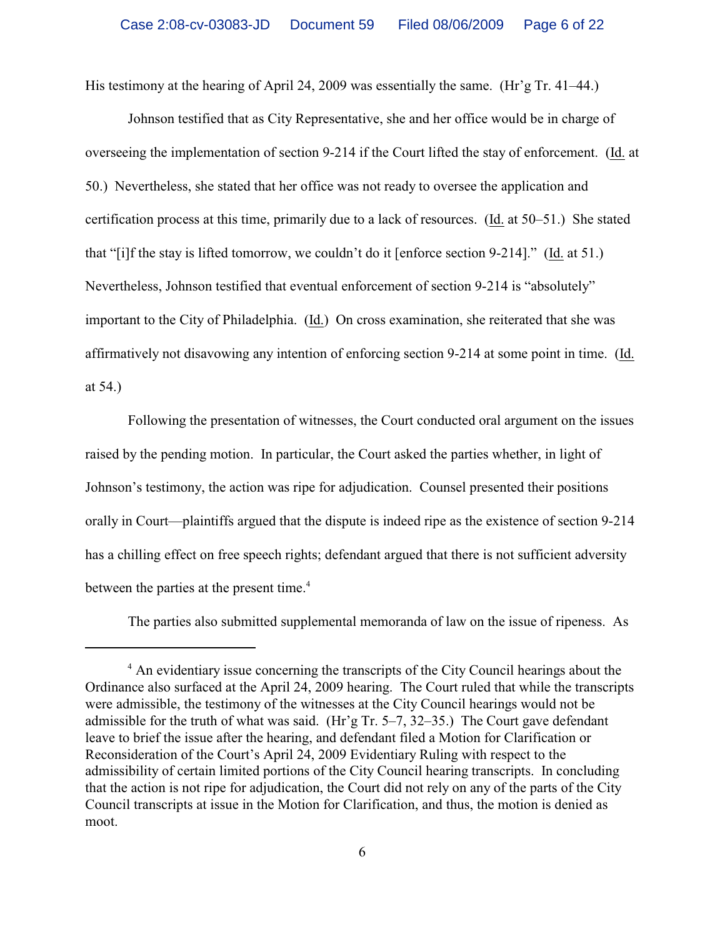His testimony at the hearing of April 24, 2009 was essentially the same. (Hr'g Tr. 41–44.)

Johnson testified that as City Representative, she and her office would be in charge of overseeing the implementation of section 9-214 if the Court lifted the stay of enforcement. (Id. at 50.) Nevertheless, she stated that her office was not ready to oversee the application and certification process at this time, primarily due to a lack of resources. (Id. at 50–51.) She stated that "[i]f the stay is lifted tomorrow, we couldn't do it [enforce section 9-214]." (Id. at 51.) Nevertheless, Johnson testified that eventual enforcement of section 9-214 is "absolutely" important to the City of Philadelphia. (Id.) On cross examination, she reiterated that she was affirmatively not disavowing any intention of enforcing section 9-214 at some point in time. (Id. at 54.)

Following the presentation of witnesses, the Court conducted oral argument on the issues raised by the pending motion. In particular, the Court asked the parties whether, in light of Johnson's testimony, the action was ripe for adjudication. Counsel presented their positions orally in Court—plaintiffs argued that the dispute is indeed ripe as the existence of section 9-214 has a chilling effect on free speech rights; defendant argued that there is not sufficient adversity between the parties at the present time.<sup>4</sup>

The parties also submitted supplemental memoranda of law on the issue of ripeness. As

<sup>&</sup>lt;sup>4</sup> An evidentiary issue concerning the transcripts of the City Council hearings about the Ordinance also surfaced at the April 24, 2009 hearing. The Court ruled that while the transcripts were admissible, the testimony of the witnesses at the City Council hearings would not be admissible for the truth of what was said. (Hr'g Tr. 5–7, 32–35.) The Court gave defendant leave to brief the issue after the hearing, and defendant filed a Motion for Clarification or Reconsideration of the Court's April 24, 2009 Evidentiary Ruling with respect to the admissibility of certain limited portions of the City Council hearing transcripts. In concluding that the action is not ripe for adjudication, the Court did not rely on any of the parts of the City Council transcripts at issue in the Motion for Clarification, and thus, the motion is denied as moot.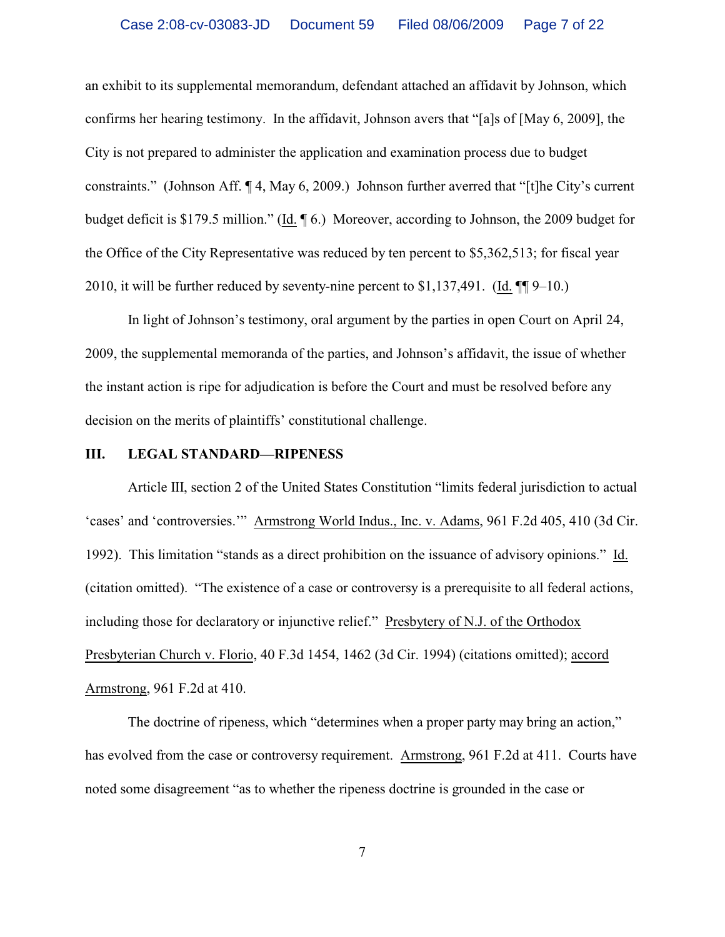an exhibit to its supplemental memorandum, defendant attached an affidavit by Johnson, which confirms her hearing testimony. In the affidavit, Johnson avers that "[a]s of [May 6, 2009], the City is not prepared to administer the application and examination process due to budget constraints." (Johnson Aff. ¶ 4, May 6, 2009.) Johnson further averred that "[t]he City's current budget deficit is \$179.5 million." (Id. ¶ 6.) Moreover, according to Johnson, the 2009 budget for the Office of the City Representative was reduced by ten percent to \$5,362,513; for fiscal year 2010, it will be further reduced by seventy-nine percent to  $$1,137,491$ . (Id.  $\P$ ] 9–10.)

In light of Johnson's testimony, oral argument by the parties in open Court on April 24, 2009, the supplemental memoranda of the parties, and Johnson's affidavit, the issue of whether the instant action is ripe for adjudication is before the Court and must be resolved before any decision on the merits of plaintiffs' constitutional challenge.

### **III. LEGAL STANDARD—RIPENESS**

Article III, section 2 of the United States Constitution "limits federal jurisdiction to actual 'cases' and 'controversies.'" Armstrong World Indus., Inc. v. Adams, 961 F.2d 405, 410 (3d Cir. 1992). This limitation "stands as a direct prohibition on the issuance of advisory opinions." Id. (citation omitted). "The existence of a case or controversy is a prerequisite to all federal actions, including those for declaratory or injunctive relief." Presbytery of N.J. of the Orthodox Presbyterian Church v. Florio, 40 F.3d 1454, 1462 (3d Cir. 1994) (citations omitted); accord Armstrong, 961 F.2d at 410.

The doctrine of ripeness, which "determines when a proper party may bring an action," has evolved from the case or controversy requirement. Armstrong, 961 F.2d at 411. Courts have noted some disagreement "as to whether the ripeness doctrine is grounded in the case or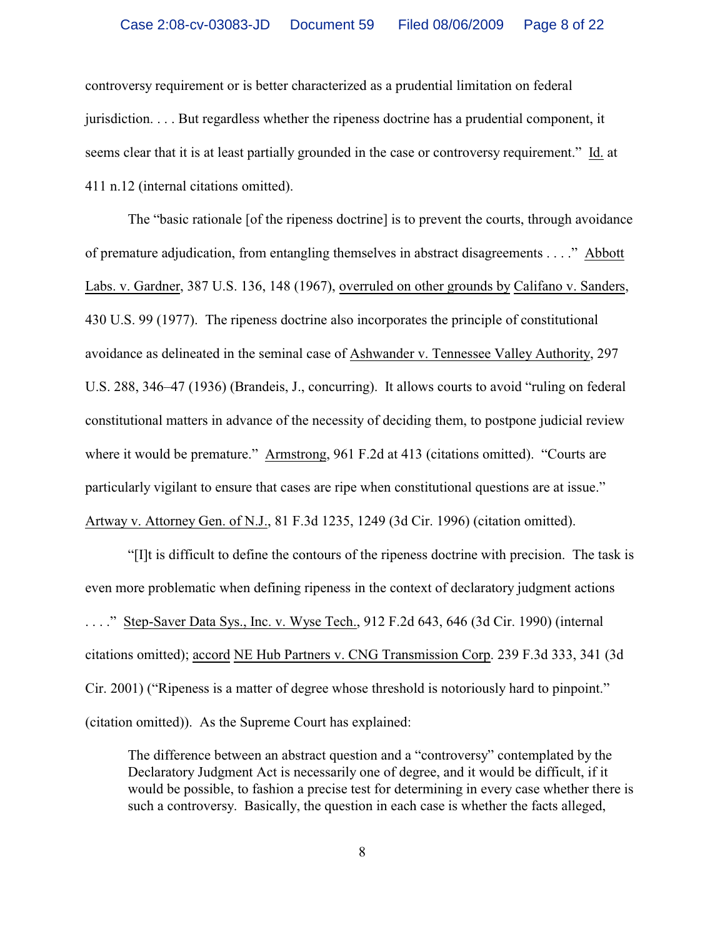controversy requirement or is better characterized as a prudential limitation on federal jurisdiction. . . . But regardless whether the ripeness doctrine has a prudential component, it seems clear that it is at least partially grounded in the case or controversy requirement." Id. at 411 n.12 (internal citations omitted).

The "basic rationale [of the ripeness doctrine] is to prevent the courts, through avoidance of premature adjudication, from entangling themselves in abstract disagreements . . . ." Abbott Labs. v. Gardner, 387 U.S. 136, 148 (1967), overruled on other grounds by Califano v. Sanders, 430 U.S. 99 (1977). The ripeness doctrine also incorporates the principle of constitutional avoidance as delineated in the seminal case of Ashwander v. Tennessee Valley Authority, 297 U.S. 288, 346–47 (1936) (Brandeis, J., concurring). It allows courts to avoid "ruling on federal constitutional matters in advance of the necessity of deciding them, to postpone judicial review where it would be premature." Armstrong, 961 F.2d at 413 (citations omitted). "Courts are particularly vigilant to ensure that cases are ripe when constitutional questions are at issue." Artway v. Attorney Gen. of N.J., 81 F.3d 1235, 1249 (3d Cir. 1996) (citation omitted).

"[I]t is difficult to define the contours of the ripeness doctrine with precision. The task is even more problematic when defining ripeness in the context of declaratory judgment actions . . . ." Step-Saver Data Sys., Inc. v. Wyse Tech., 912 F.2d 643, 646 (3d Cir. 1990) (internal citations omitted); accord NE Hub Partners v. CNG Transmission Corp. 239 F.3d 333, 341 (3d Cir. 2001) ("Ripeness is a matter of degree whose threshold is notoriously hard to pinpoint." (citation omitted)). As the Supreme Court has explained:

The difference between an abstract question and a "controversy" contemplated by the Declaratory Judgment Act is necessarily one of degree, and it would be difficult, if it would be possible, to fashion a precise test for determining in every case whether there is such a controversy. Basically, the question in each case is whether the facts alleged,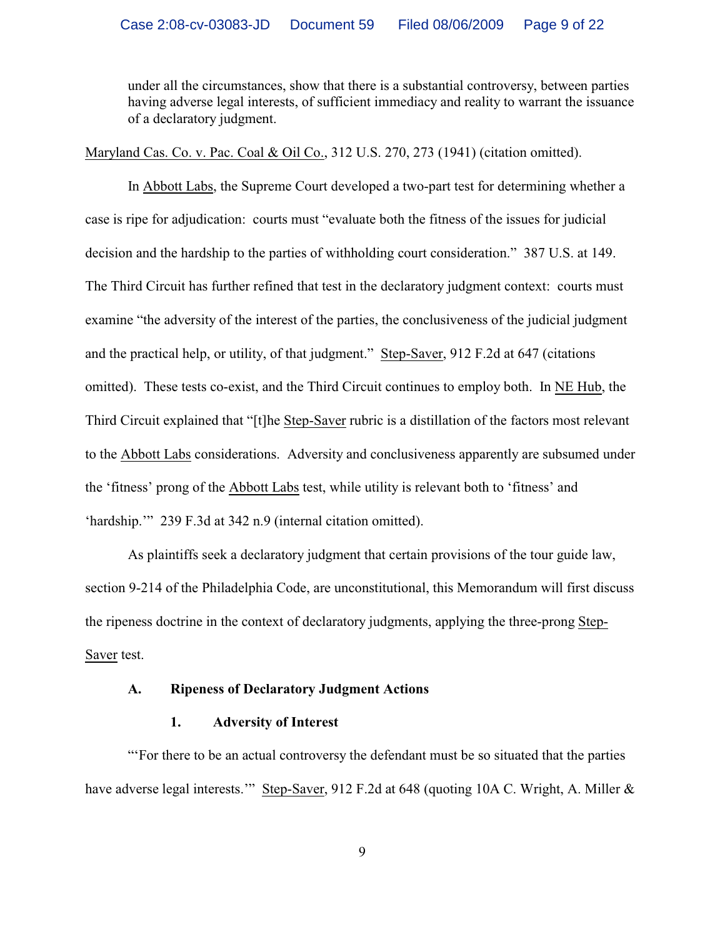under all the circumstances, show that there is a substantial controversy, between parties having adverse legal interests, of sufficient immediacy and reality to warrant the issuance of a declaratory judgment.

Maryland Cas. Co. v. Pac. Coal & Oil Co., 312 U.S. 270, 273 (1941) (citation omitted).

In Abbott Labs, the Supreme Court developed a two-part test for determining whether a case is ripe for adjudication: courts must "evaluate both the fitness of the issues for judicial decision and the hardship to the parties of withholding court consideration." 387 U.S. at 149. The Third Circuit has further refined that test in the declaratory judgment context: courts must examine "the adversity of the interest of the parties, the conclusiveness of the judicial judgment and the practical help, or utility, of that judgment." Step-Saver, 912 F.2d at 647 (citations omitted). These tests co-exist, and the Third Circuit continues to employ both. In NE Hub, the Third Circuit explained that "[t]he Step-Saver rubric is a distillation of the factors most relevant to the Abbott Labs considerations. Adversity and conclusiveness apparently are subsumed under the 'fitness' prong of the Abbott Labs test, while utility is relevant both to 'fitness' and 'hardship.'" 239 F.3d at 342 n.9 (internal citation omitted).

As plaintiffs seek a declaratory judgment that certain provisions of the tour guide law, section 9-214 of the Philadelphia Code, are unconstitutional, this Memorandum will first discuss the ripeness doctrine in the context of declaratory judgments, applying the three-prong Step-Saver test.

## **A. Ripeness of Declaratory Judgment Actions**

# **1. Adversity of Interest**

"'For there to be an actual controversy the defendant must be so situated that the parties have adverse legal interests." Step-Saver, 912 F.2d at 648 (quoting 10A C. Wright, A. Miller &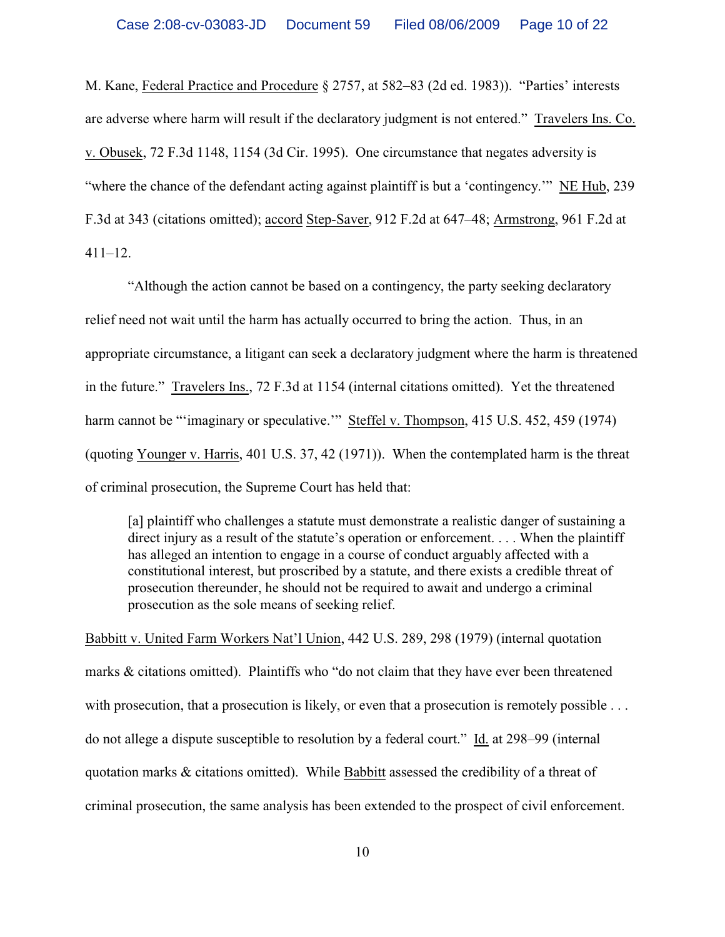M. Kane, Federal Practice and Procedure § 2757, at 582–83 (2d ed. 1983)). "Parties' interests are adverse where harm will result if the declaratory judgment is not entered." Travelers Ins. Co. v. Obusek, 72 F.3d 1148, 1154 (3d Cir. 1995). One circumstance that negates adversity is "where the chance of the defendant acting against plaintiff is but a 'contingency.'" NE Hub, 239 F.3d at 343 (citations omitted); accord Step-Saver, 912 F.2d at 647–48; Armstrong, 961 F.2d at 411–12.

"Although the action cannot be based on a contingency, the party seeking declaratory relief need not wait until the harm has actually occurred to bring the action. Thus, in an appropriate circumstance, a litigant can seek a declaratory judgment where the harm is threatened in the future." Travelers Ins., 72 F.3d at 1154 (internal citations omitted). Yet the threatened harm cannot be "'imaginary or speculative." Steffel v. Thompson, 415 U.S. 452, 459 (1974) (quoting Younger v. Harris, 401 U.S. 37, 42 (1971)). When the contemplated harm is the threat of criminal prosecution, the Supreme Court has held that:

[a] plaintiff who challenges a statute must demonstrate a realistic danger of sustaining a direct injury as a result of the statute's operation or enforcement. . . . When the plaintiff has alleged an intention to engage in a course of conduct arguably affected with a constitutional interest, but proscribed by a statute, and there exists a credible threat of prosecution thereunder, he should not be required to await and undergo a criminal prosecution as the sole means of seeking relief.

Babbitt v. United Farm Workers Nat'l Union, 442 U.S. 289, 298 (1979) (internal quotation marks & citations omitted). Plaintiffs who "do not claim that they have ever been threatened with prosecution, that a prosecution is likely, or even that a prosecution is remotely possible ... do not allege a dispute susceptible to resolution by a federal court." Id. at 298–99 (internal quotation marks & citations omitted). While Babbitt assessed the credibility of a threat of criminal prosecution, the same analysis has been extended to the prospect of civil enforcement.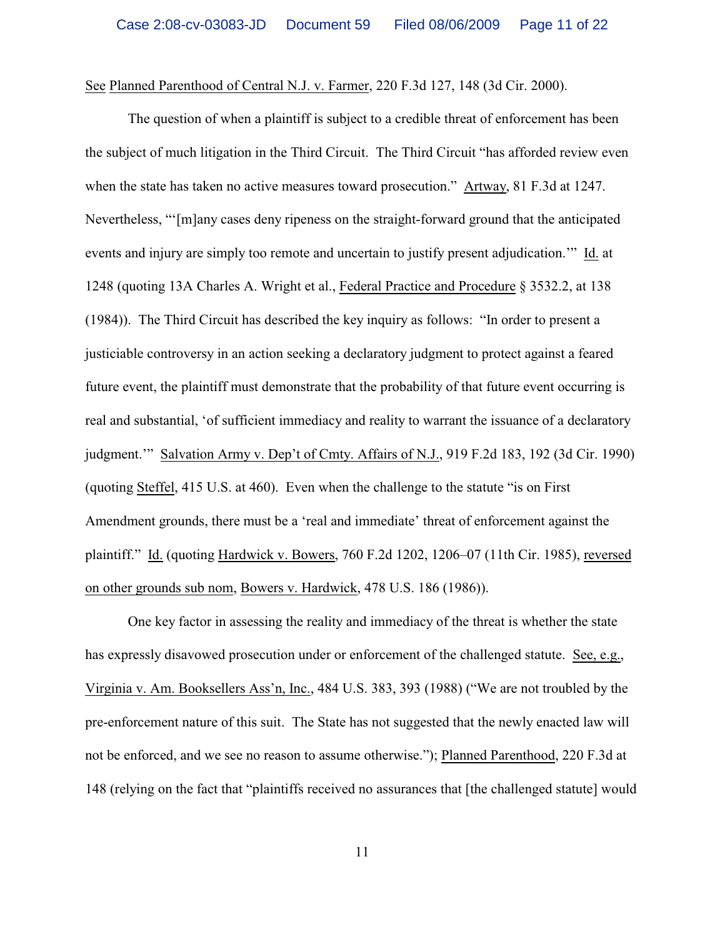See Planned Parenthood of Central N.J. v. Farmer, 220 F.3d 127, 148 (3d Cir. 2000).

The question of when a plaintiff is subject to a credible threat of enforcement has been the subject of much litigation in the Third Circuit. The Third Circuit "has afforded review even when the state has taken no active measures toward prosecution." Artway, 81 F.3d at 1247. Nevertheless, "'[m]any cases deny ripeness on the straight-forward ground that the anticipated events and injury are simply too remote and uncertain to justify present adjudication.'" Id. at 1248 (quoting 13A Charles A. Wright et al., Federal Practice and Procedure § 3532.2, at 138 (1984)). The Third Circuit has described the key inquiry as follows: "In order to present a justiciable controversy in an action seeking a declaratory judgment to protect against a feared future event, the plaintiff must demonstrate that the probability of that future event occurring is real and substantial, 'of sufficient immediacy and reality to warrant the issuance of a declaratory judgment.'" Salvation Army v. Dep't of Cmty. Affairs of N.J., 919 F.2d 183, 192 (3d Cir. 1990) (quoting Steffel, 415 U.S. at 460). Even when the challenge to the statute "is on First Amendment grounds, there must be a 'real and immediate' threat of enforcement against the plaintiff." Id. (quoting Hardwick v. Bowers, 760 F.2d 1202, 1206–07 (11th Cir. 1985), reversed on other grounds sub nom, Bowers v. Hardwick, 478 U.S. 186 (1986)).

One key factor in assessing the reality and immediacy of the threat is whether the state has expressly disavowed prosecution under or enforcement of the challenged statute. See, e.g., Virginia v. Am. Booksellers Ass'n, Inc., 484 U.S. 383, 393 (1988) ("We are not troubled by the pre-enforcement nature of this suit. The State has not suggested that the newly enacted law will not be enforced, and we see no reason to assume otherwise."); Planned Parenthood, 220 F.3d at 148 (relying on the fact that "plaintiffs received no assurances that [the challenged statute] would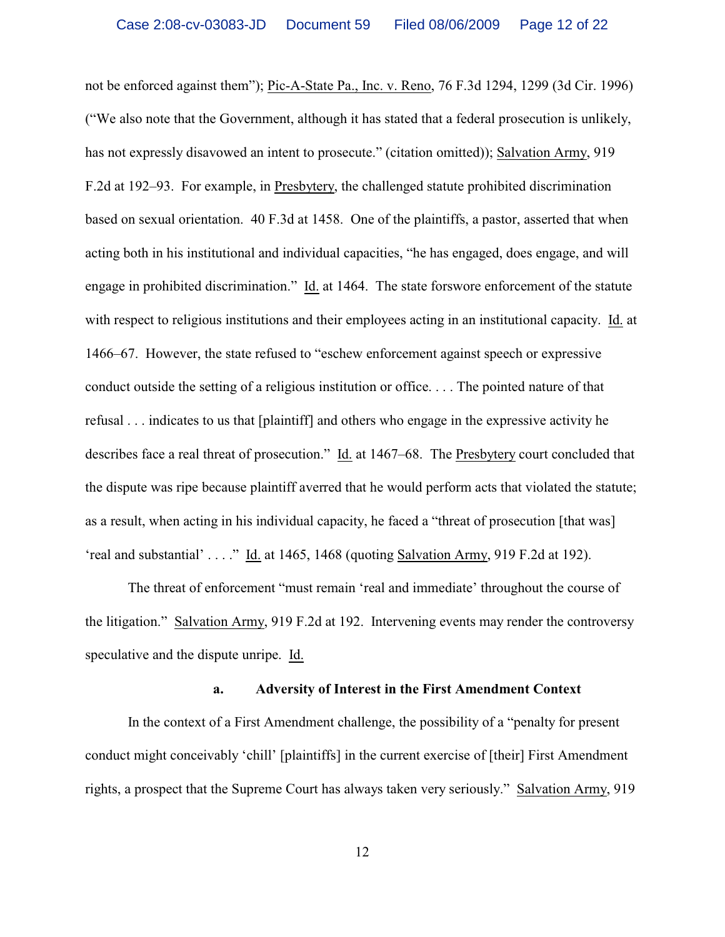not be enforced against them"); Pic-A-State Pa., Inc. v. Reno, 76 F.3d 1294, 1299 (3d Cir. 1996) ("We also note that the Government, although it has stated that a federal prosecution is unlikely, has not expressly disavowed an intent to prosecute." (citation omitted)); Salvation Army, 919 F.2d at 192–93. For example, in Presbytery, the challenged statute prohibited discrimination based on sexual orientation. 40 F.3d at 1458. One of the plaintiffs, a pastor, asserted that when acting both in his institutional and individual capacities, "he has engaged, does engage, and will engage in prohibited discrimination." Id. at 1464. The state forswore enforcement of the statute with respect to religious institutions and their employees acting in an institutional capacity. Id. at 1466–67. However, the state refused to "eschew enforcement against speech or expressive conduct outside the setting of a religious institution or office. . . . The pointed nature of that refusal . . . indicates to us that [plaintiff] and others who engage in the expressive activity he describes face a real threat of prosecution." Id. at 1467–68. The Presbytery court concluded that the dispute was ripe because plaintiff averred that he would perform acts that violated the statute; as a result, when acting in his individual capacity, he faced a "threat of prosecution [that was] 'real and substantial' . . . ." Id. at 1465, 1468 (quoting Salvation Army, 919 F.2d at 192).

The threat of enforcement "must remain 'real and immediate' throughout the course of the litigation." Salvation Army, 919 F.2d at 192. Intervening events may render the controversy speculative and the dispute unripe. Id.

## **a. Adversity of Interest in the First Amendment Context**

In the context of a First Amendment challenge, the possibility of a "penalty for present conduct might conceivably 'chill' [plaintiffs] in the current exercise of [their] First Amendment rights, a prospect that the Supreme Court has always taken very seriously." Salvation Army, 919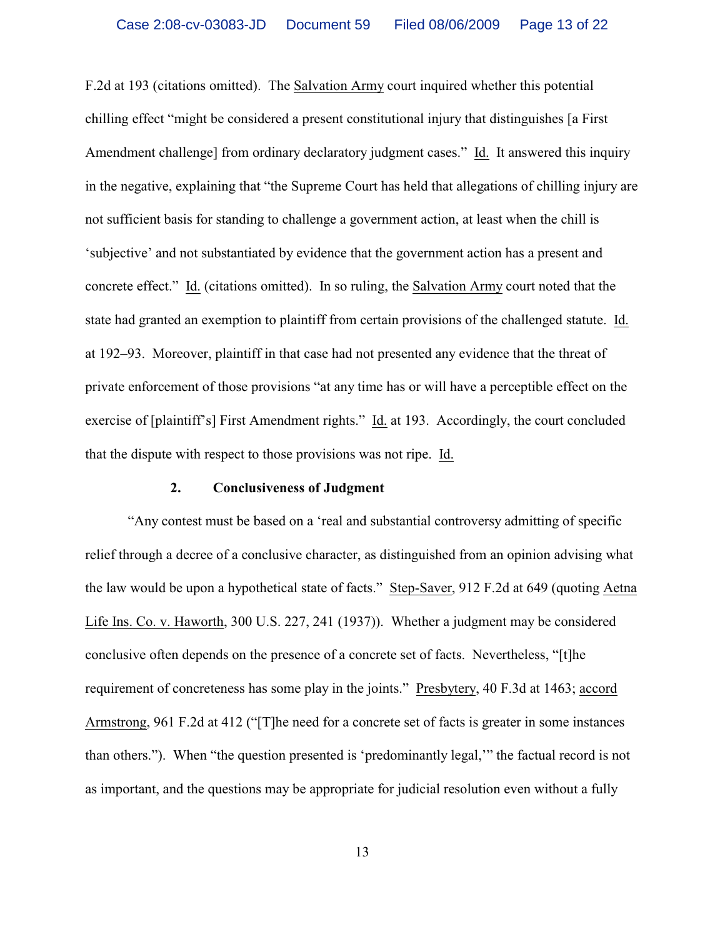F.2d at 193 (citations omitted). The Salvation Army court inquired whether this potential chilling effect "might be considered a present constitutional injury that distinguishes [a First Amendment challenge] from ordinary declaratory judgment cases." Id. It answered this inquiry in the negative, explaining that "the Supreme Court has held that allegations of chilling injury are not sufficient basis for standing to challenge a government action, at least when the chill is 'subjective' and not substantiated by evidence that the government action has a present and concrete effect." Id. (citations omitted). In so ruling, the Salvation Army court noted that the state had granted an exemption to plaintiff from certain provisions of the challenged statute. Id. at 192–93. Moreover, plaintiff in that case had not presented any evidence that the threat of private enforcement of those provisions "at any time has or will have a perceptible effect on the exercise of [plaintiff's] First Amendment rights." Id. at 193. Accordingly, the court concluded that the dispute with respect to those provisions was not ripe. Id.

## **2. Conclusiveness of Judgment**

"Any contest must be based on a 'real and substantial controversy admitting of specific relief through a decree of a conclusive character, as distinguished from an opinion advising what the law would be upon a hypothetical state of facts." Step-Saver, 912 F.2d at 649 (quoting Aetna Life Ins. Co. v. Haworth, 300 U.S. 227, 241 (1937)). Whether a judgment may be considered conclusive often depends on the presence of a concrete set of facts. Nevertheless, "[t]he requirement of concreteness has some play in the joints." Presbytery, 40 F.3d at 1463; accord Armstrong, 961 F.2d at 412 ("[T]he need for a concrete set of facts is greater in some instances than others."). When "the question presented is 'predominantly legal,'" the factual record is not as important, and the questions may be appropriate for judicial resolution even without a fully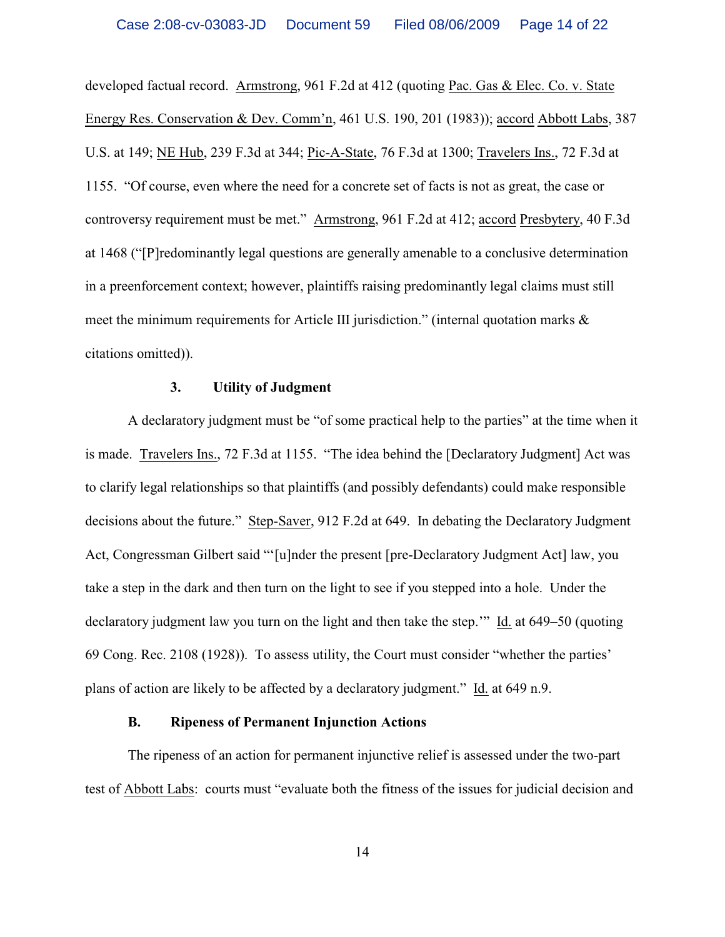developed factual record. Armstrong, 961 F.2d at 412 (quoting Pac. Gas & Elec. Co. v. State Energy Res. Conservation & Dev. Comm'n, 461 U.S. 190, 201 (1983)); accord Abbott Labs, 387 U.S. at 149; NE Hub, 239 F.3d at 344; Pic-A-State, 76 F.3d at 1300; Travelers Ins., 72 F.3d at 1155. "Of course, even where the need for a concrete set of facts is not as great, the case or controversy requirement must be met." Armstrong, 961 F.2d at 412; accord Presbytery, 40 F.3d at 1468 ("[P]redominantly legal questions are generally amenable to a conclusive determination in a preenforcement context; however, plaintiffs raising predominantly legal claims must still meet the minimum requirements for Article III jurisdiction." (internal quotation marks & citations omitted)).

#### **3. Utility of Judgment**

A declaratory judgment must be "of some practical help to the parties" at the time when it is made. Travelers Ins., 72 F.3d at 1155. "The idea behind the [Declaratory Judgment] Act was to clarify legal relationships so that plaintiffs (and possibly defendants) could make responsible decisions about the future." Step-Saver, 912 F.2d at 649. In debating the Declaratory Judgment Act, Congressman Gilbert said "'[u]nder the present [pre-Declaratory Judgment Act] law, you take a step in the dark and then turn on the light to see if you stepped into a hole. Under the declaratory judgment law you turn on the light and then take the step.'" Id. at 649–50 (quoting 69 Cong. Rec. 2108 (1928)). To assess utility, the Court must consider "whether the parties' plans of action are likely to be affected by a declaratory judgment." Id. at 649 n.9.

# **B. Ripeness of Permanent Injunction Actions**

The ripeness of an action for permanent injunctive relief is assessed under the two-part test of Abbott Labs: courts must "evaluate both the fitness of the issues for judicial decision and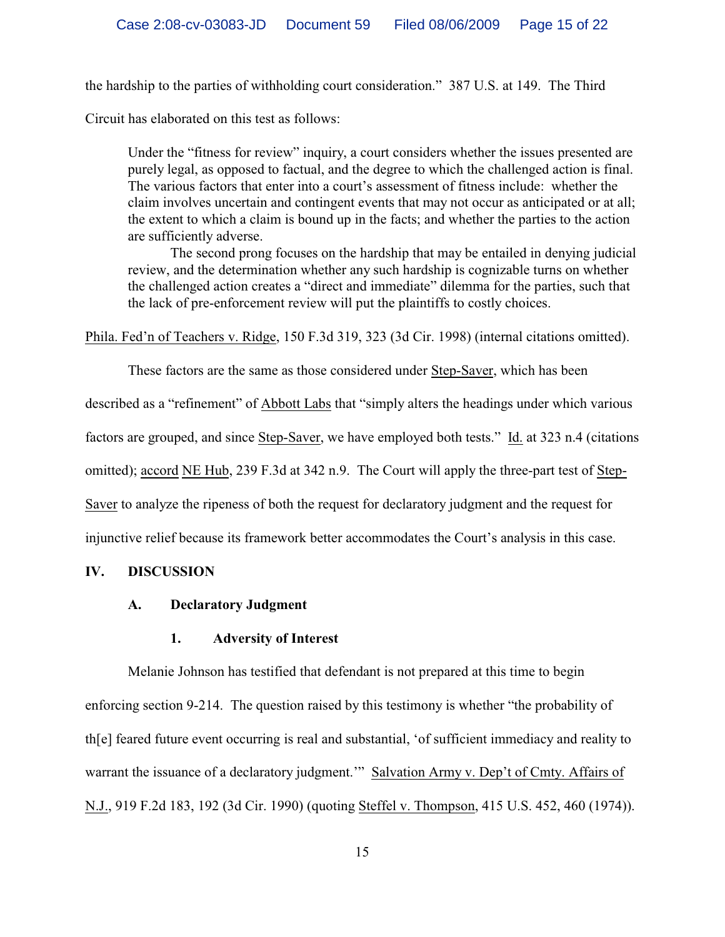the hardship to the parties of withholding court consideration." 387 U.S. at 149. The Third

Circuit has elaborated on this test as follows:

Under the "fitness for review" inquiry, a court considers whether the issues presented are purely legal, as opposed to factual, and the degree to which the challenged action is final. The various factors that enter into a court's assessment of fitness include: whether the claim involves uncertain and contingent events that may not occur as anticipated or at all; the extent to which a claim is bound up in the facts; and whether the parties to the action are sufficiently adverse.

The second prong focuses on the hardship that may be entailed in denying judicial review, and the determination whether any such hardship is cognizable turns on whether the challenged action creates a "direct and immediate" dilemma for the parties, such that the lack of pre-enforcement review will put the plaintiffs to costly choices.

Phila. Fed'n of Teachers v. Ridge, 150 F.3d 319, 323 (3d Cir. 1998) (internal citations omitted).

These factors are the same as those considered under Step-Saver, which has been

described as a "refinement" of Abbott Labs that "simply alters the headings under which various

factors are grouped, and since Step-Saver, we have employed both tests." Id. at 323 n.4 (citations

omitted); accord NE Hub, 239 F.3d at 342 n.9. The Court will apply the three-part test of Step-

Saver to analyze the ripeness of both the request for declaratory judgment and the request for

injunctive relief because its framework better accommodates the Court's analysis in this case.

# **IV. DISCUSSION**

# **A. Declaratory Judgment**

# **1. Adversity of Interest**

Melanie Johnson has testified that defendant is not prepared at this time to begin enforcing section 9-214. The question raised by this testimony is whether "the probability of th[e] feared future event occurring is real and substantial, 'of sufficient immediacy and reality to warrant the issuance of a declaratory judgment." Salvation Army v. Dep't of Cmty. Affairs of N.J., 919 F.2d 183, 192 (3d Cir. 1990) (quoting Steffel v. Thompson, 415 U.S. 452, 460 (1974)).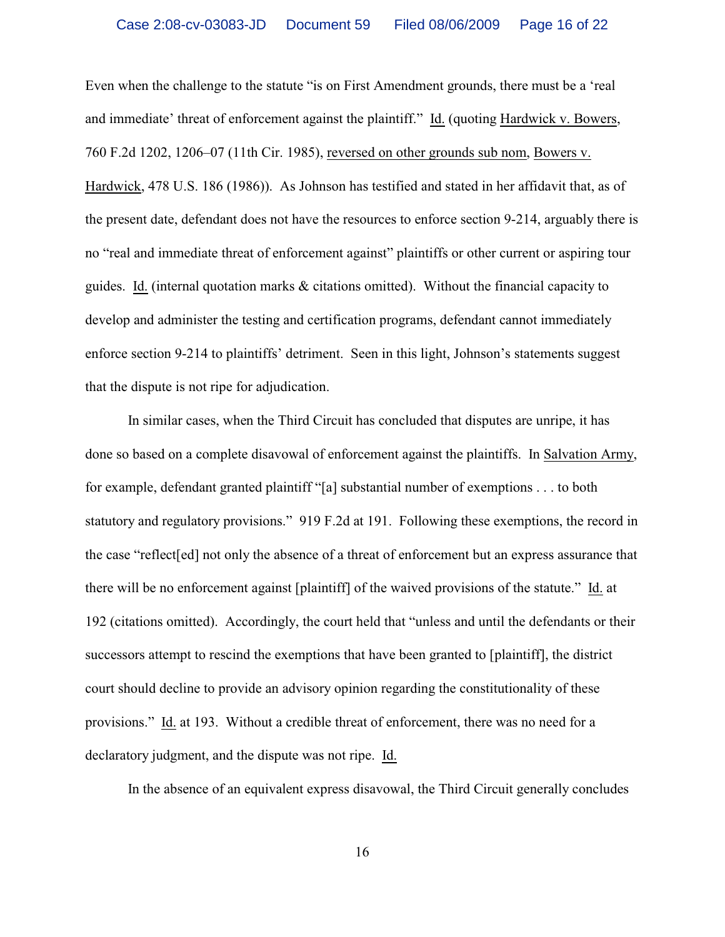Even when the challenge to the statute "is on First Amendment grounds, there must be a 'real and immediate' threat of enforcement against the plaintiff." Id. (quoting Hardwick v. Bowers, 760 F.2d 1202, 1206–07 (11th Cir. 1985), reversed on other grounds sub nom, Bowers v. Hardwick, 478 U.S. 186 (1986)). As Johnson has testified and stated in her affidavit that, as of the present date, defendant does not have the resources to enforce section 9-214, arguably there is no "real and immediate threat of enforcement against" plaintiffs or other current or aspiring tour guides. Id. (internal quotation marks & citations omitted). Without the financial capacity to develop and administer the testing and certification programs, defendant cannot immediately enforce section 9-214 to plaintiffs' detriment. Seen in this light, Johnson's statements suggest that the dispute is not ripe for adjudication.

In similar cases, when the Third Circuit has concluded that disputes are unripe, it has done so based on a complete disavowal of enforcement against the plaintiffs. In Salvation Army, for example, defendant granted plaintiff "[a] substantial number of exemptions . . . to both statutory and regulatory provisions." 919 F.2d at 191. Following these exemptions, the record in the case "reflect[ed] not only the absence of a threat of enforcement but an express assurance that there will be no enforcement against [plaintiff] of the waived provisions of the statute." Id. at 192 (citations omitted). Accordingly, the court held that "unless and until the defendants or their successors attempt to rescind the exemptions that have been granted to [plaintiff], the district court should decline to provide an advisory opinion regarding the constitutionality of these provisions." Id. at 193. Without a credible threat of enforcement, there was no need for a declaratory judgment, and the dispute was not ripe. Id.

In the absence of an equivalent express disavowal, the Third Circuit generally concludes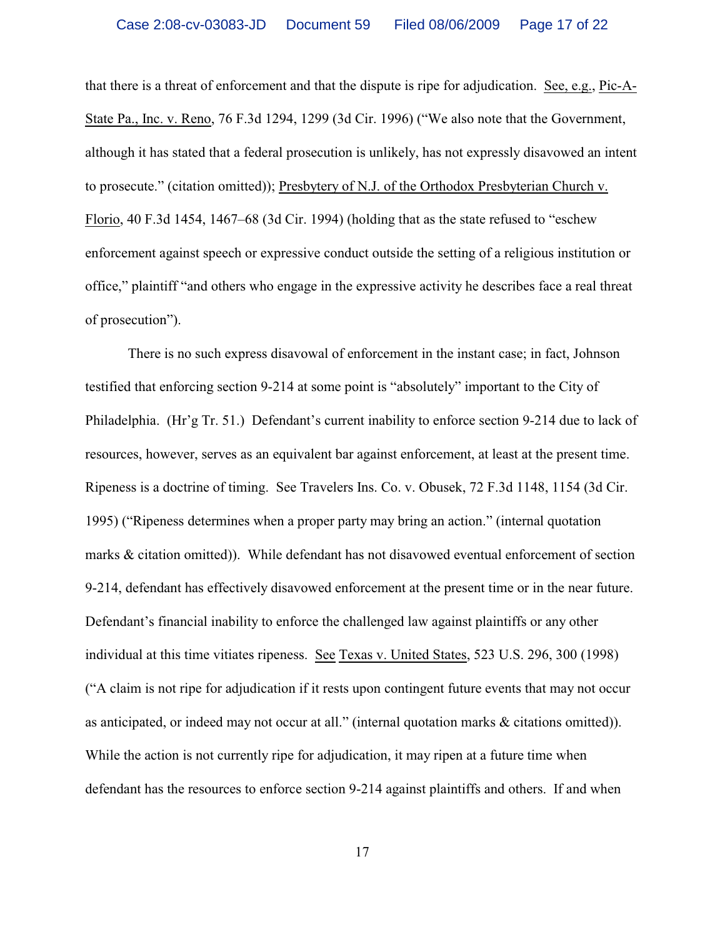that there is a threat of enforcement and that the dispute is ripe for adjudication. See, e.g., Pic-A-State Pa., Inc. v. Reno, 76 F.3d 1294, 1299 (3d Cir. 1996) ("We also note that the Government, although it has stated that a federal prosecution is unlikely, has not expressly disavowed an intent to prosecute." (citation omitted)); Presbytery of N.J. of the Orthodox Presbyterian Church v. Florio, 40 F.3d 1454, 1467–68 (3d Cir. 1994) (holding that as the state refused to "eschew enforcement against speech or expressive conduct outside the setting of a religious institution or office," plaintiff "and others who engage in the expressive activity he describes face a real threat of prosecution").

There is no such express disavowal of enforcement in the instant case; in fact, Johnson testified that enforcing section 9-214 at some point is "absolutely" important to the City of Philadelphia. (Hr'g Tr. 51.) Defendant's current inability to enforce section 9-214 due to lack of resources, however, serves as an equivalent bar against enforcement, at least at the present time. Ripeness is a doctrine of timing. See Travelers Ins. Co. v. Obusek, 72 F.3d 1148, 1154 (3d Cir. 1995) ("Ripeness determines when a proper party may bring an action." (internal quotation marks & citation omitted)). While defendant has not disavowed eventual enforcement of section 9-214, defendant has effectively disavowed enforcement at the present time or in the near future. Defendant's financial inability to enforce the challenged law against plaintiffs or any other individual at this time vitiates ripeness. See Texas v. United States, 523 U.S. 296, 300 (1998) ("A claim is not ripe for adjudication if it rests upon contingent future events that may not occur as anticipated, or indeed may not occur at all." (internal quotation marks & citations omitted)). While the action is not currently ripe for adjudication, it may ripen at a future time when defendant has the resources to enforce section 9-214 against plaintiffs and others. If and when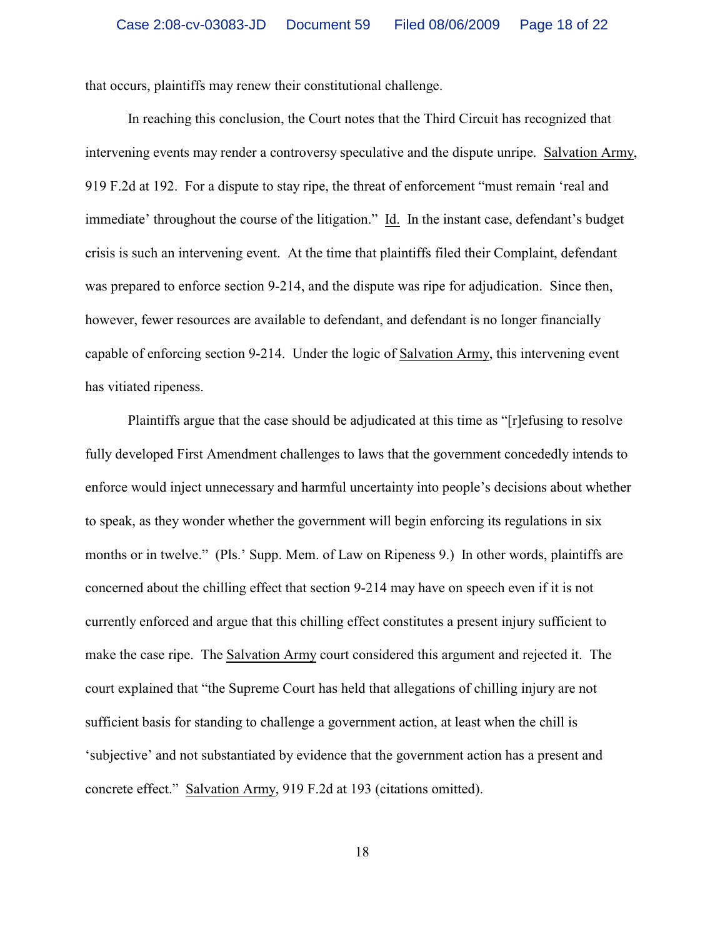that occurs, plaintiffs may renew their constitutional challenge.

In reaching this conclusion, the Court notes that the Third Circuit has recognized that intervening events may render a controversy speculative and the dispute unripe. Salvation Army, 919 F.2d at 192. For a dispute to stay ripe, the threat of enforcement "must remain 'real and immediate' throughout the course of the litigation." Id. In the instant case, defendant's budget crisis is such an intervening event. At the time that plaintiffs filed their Complaint, defendant was prepared to enforce section 9-214, and the dispute was ripe for adjudication. Since then, however, fewer resources are available to defendant, and defendant is no longer financially capable of enforcing section 9-214. Under the logic of Salvation Army, this intervening event has vitiated ripeness.

Plaintiffs argue that the case should be adjudicated at this time as "[r]efusing to resolve fully developed First Amendment challenges to laws that the government concededly intends to enforce would inject unnecessary and harmful uncertainty into people's decisions about whether to speak, as they wonder whether the government will begin enforcing its regulations in six months or in twelve." (Pls.' Supp. Mem. of Law on Ripeness 9.) In other words, plaintiffs are concerned about the chilling effect that section 9-214 may have on speech even if it is not currently enforced and argue that this chilling effect constitutes a present injury sufficient to make the case ripe. The Salvation Army court considered this argument and rejected it. The court explained that "the Supreme Court has held that allegations of chilling injury are not sufficient basis for standing to challenge a government action, at least when the chill is 'subjective' and not substantiated by evidence that the government action has a present and concrete effect." Salvation Army, 919 F.2d at 193 (citations omitted).

18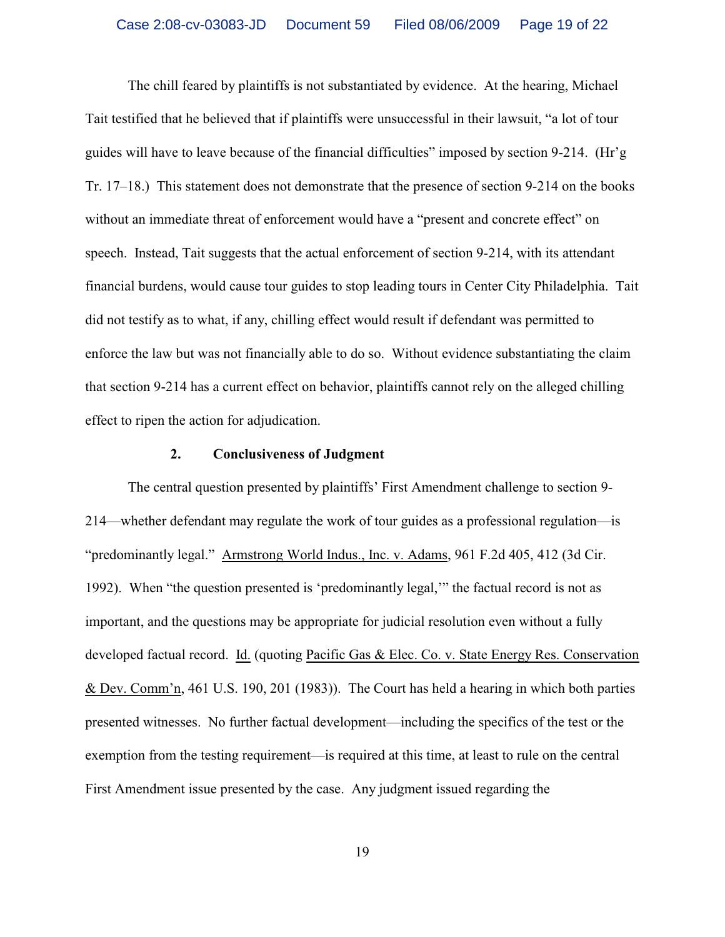The chill feared by plaintiffs is not substantiated by evidence. At the hearing, Michael Tait testified that he believed that if plaintiffs were unsuccessful in their lawsuit, "a lot of tour guides will have to leave because of the financial difficulties" imposed by section 9-214. (Hr'g Tr. 17–18.) This statement does not demonstrate that the presence of section 9-214 on the books without an immediate threat of enforcement would have a "present and concrete effect" on speech. Instead, Tait suggests that the actual enforcement of section 9-214, with its attendant financial burdens, would cause tour guides to stop leading tours in Center City Philadelphia. Tait did not testify as to what, if any, chilling effect would result if defendant was permitted to enforce the law but was not financially able to do so. Without evidence substantiating the claim that section 9-214 has a current effect on behavior, plaintiffs cannot rely on the alleged chilling effect to ripen the action for adjudication.

#### **2. Conclusiveness of Judgment**

The central question presented by plaintiffs' First Amendment challenge to section 9- 214—whether defendant may regulate the work of tour guides as a professional regulation—is "predominantly legal." Armstrong World Indus., Inc. v. Adams, 961 F.2d 405, 412 (3d Cir. 1992). When "the question presented is 'predominantly legal,'" the factual record is not as important, and the questions may be appropriate for judicial resolution even without a fully developed factual record. Id. (quoting Pacific Gas & Elec. Co. v. State Energy Res. Conservation & Dev. Comm'n, 461 U.S. 190, 201 (1983)). The Court has held a hearing in which both parties presented witnesses. No further factual development—including the specifics of the test or the exemption from the testing requirement—is required at this time, at least to rule on the central First Amendment issue presented by the case. Any judgment issued regarding the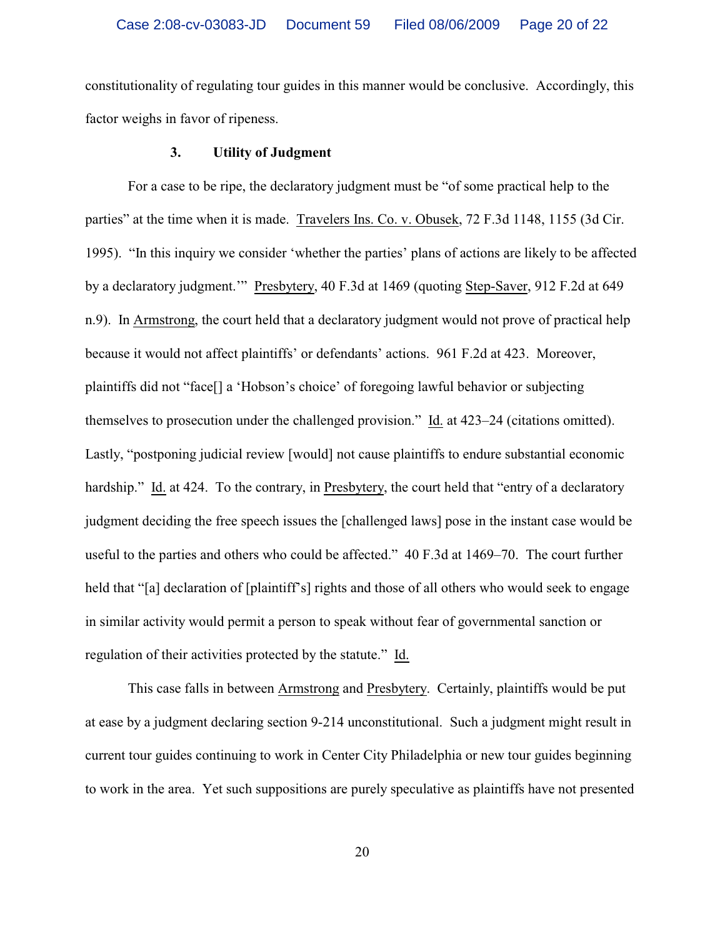constitutionality of regulating tour guides in this manner would be conclusive. Accordingly, this factor weighs in favor of ripeness.

## **3. Utility of Judgment**

For a case to be ripe, the declaratory judgment must be "of some practical help to the parties" at the time when it is made. Travelers Ins. Co. v. Obusek, 72 F.3d 1148, 1155 (3d Cir. 1995). "In this inquiry we consider 'whether the parties' plans of actions are likely to be affected by a declaratory judgment.'" Presbytery, 40 F.3d at 1469 (quoting Step-Saver, 912 F.2d at 649 n.9). In Armstrong, the court held that a declaratory judgment would not prove of practical help because it would not affect plaintiffs' or defendants' actions. 961 F.2d at 423. Moreover, plaintiffs did not "face[] a 'Hobson's choice' of foregoing lawful behavior or subjecting themselves to prosecution under the challenged provision." Id. at 423–24 (citations omitted). Lastly, "postponing judicial review [would] not cause plaintiffs to endure substantial economic hardship." Id. at 424. To the contrary, in Presbytery, the court held that "entry of a declaratory judgment deciding the free speech issues the [challenged laws] pose in the instant case would be useful to the parties and others who could be affected." 40 F.3d at 1469–70. The court further held that "[a] declaration of [plaintiff's] rights and those of all others who would seek to engage in similar activity would permit a person to speak without fear of governmental sanction or regulation of their activities protected by the statute." Id.

This case falls in between Armstrong and Presbytery. Certainly, plaintiffs would be put at ease by a judgment declaring section 9-214 unconstitutional. Such a judgment might result in current tour guides continuing to work in Center City Philadelphia or new tour guides beginning to work in the area. Yet such suppositions are purely speculative as plaintiffs have not presented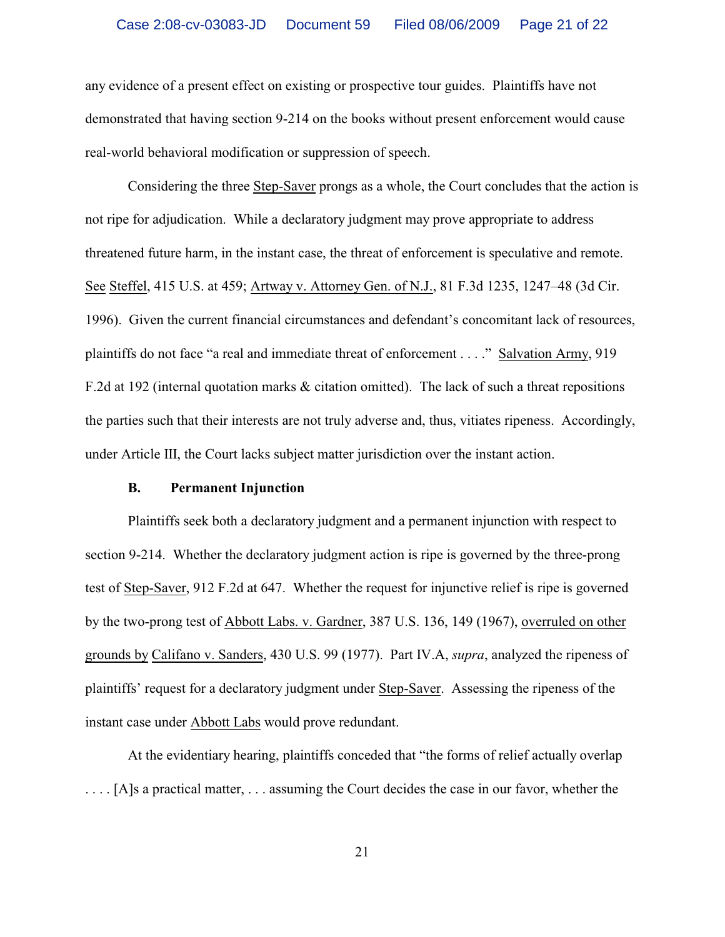any evidence of a present effect on existing or prospective tour guides. Plaintiffs have not demonstrated that having section 9-214 on the books without present enforcement would cause real-world behavioral modification or suppression of speech.

Considering the three Step-Saver prongs as a whole, the Court concludes that the action is not ripe for adjudication. While a declaratory judgment may prove appropriate to address threatened future harm, in the instant case, the threat of enforcement is speculative and remote. See Steffel, 415 U.S. at 459; Artway v. Attorney Gen. of N.J., 81 F.3d 1235, 1247–48 (3d Cir. 1996). Given the current financial circumstances and defendant's concomitant lack of resources, plaintiffs do not face "a real and immediate threat of enforcement . . . ." Salvation Army, 919 F.2d at 192 (internal quotation marks & citation omitted). The lack of such a threat repositions the parties such that their interests are not truly adverse and, thus, vitiates ripeness. Accordingly, under Article III, the Court lacks subject matter jurisdiction over the instant action.

## **B. Permanent Injunction**

Plaintiffs seek both a declaratory judgment and a permanent injunction with respect to section 9-214. Whether the declaratory judgment action is ripe is governed by the three-prong test of Step-Saver, 912 F.2d at 647. Whether the request for injunctive relief is ripe is governed by the two-prong test of Abbott Labs. v. Gardner, 387 U.S. 136, 149 (1967), overruled on other grounds by Califano v. Sanders, 430 U.S. 99 (1977). Part IV.A, *supra*, analyzed the ripeness of plaintiffs' request for a declaratory judgment under Step-Saver. Assessing the ripeness of the instant case under Abbott Labs would prove redundant.

At the evidentiary hearing, plaintiffs conceded that "the forms of relief actually overlap . . . . [A]s a practical matter, . . . assuming the Court decides the case in our favor, whether the